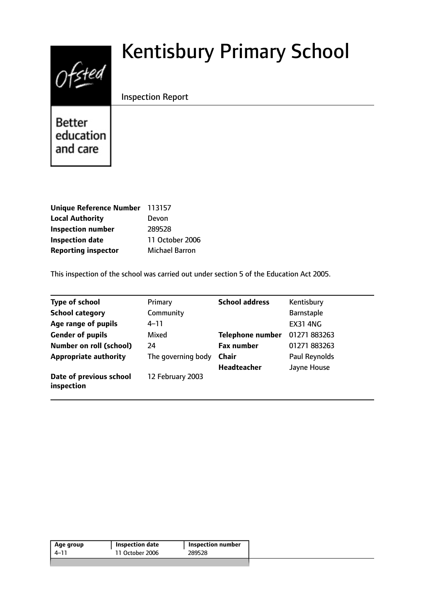# $0$ fsted

# Kentisbury Primary School

Inspection Report

**Better** education and care

| Unique Reference Number 113157 |                 |
|--------------------------------|-----------------|
| <b>Local Authority</b>         | Devon           |
| <b>Inspection number</b>       | 289528          |
| <b>Inspection date</b>         | 11 October 2006 |
| <b>Reporting inspector</b>     | Michael Barron  |

This inspection of the school was carried out under section 5 of the Education Act 2005.

| <b>Type of school</b>                 | Primary            | <b>School address</b>   | Kentisbury      |
|---------------------------------------|--------------------|-------------------------|-----------------|
| <b>School category</b>                | Community          |                         | Barnstaple      |
| Age range of pupils                   | 4–11               |                         | <b>EX31 4NG</b> |
| <b>Gender of pupils</b>               | Mixed              | <b>Telephone number</b> | 01271 883263    |
| <b>Number on roll (school)</b>        | 24                 | <b>Fax number</b>       | 01271 883263    |
| <b>Appropriate authority</b>          | The governing body | <b>Chair</b>            | Paul Reynolds   |
|                                       |                    | <b>Headteacher</b>      | Jayne House     |
| Date of previous school<br>inspection | 12 February 2003   |                         |                 |

| Age group | <b>Inspection date</b> | <b>Inspection number</b> |
|-----------|------------------------|--------------------------|
| 4–11      | 11 October 2006        | 289528                   |
|           |                        |                          |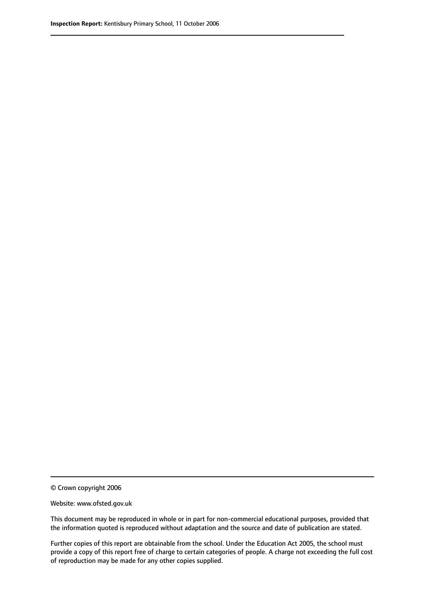© Crown copyright 2006

Website: www.ofsted.gov.uk

This document may be reproduced in whole or in part for non-commercial educational purposes, provided that the information quoted is reproduced without adaptation and the source and date of publication are stated.

Further copies of this report are obtainable from the school. Under the Education Act 2005, the school must provide a copy of this report free of charge to certain categories of people. A charge not exceeding the full cost of reproduction may be made for any other copies supplied.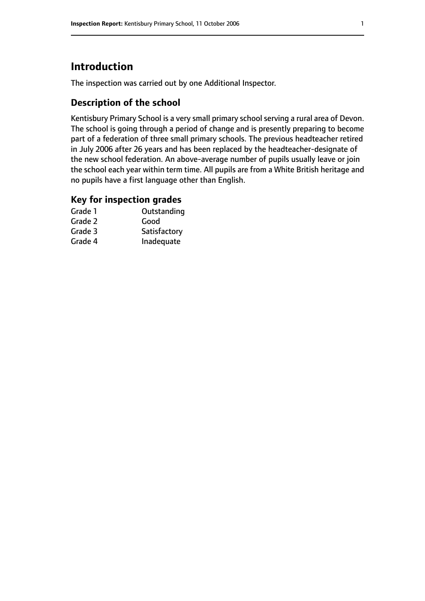# **Introduction**

The inspection was carried out by one Additional Inspector.

#### **Description of the school**

Kentisbury Primary School is a very small primary school serving a rural area of Devon. The school is going through a period of change and is presently preparing to become part of a federation of three small primary schools. The previous headteacher retired in July 2006 after 26 years and has been replaced by the headteacher-designate of the new school federation. An above-average number of pupils usually leave or join the school each year within term time. All pupils are from a White British heritage and no pupils have a first language other than English.

#### **Key for inspection grades**

| Grade 1 | Outstanding  |
|---------|--------------|
| Grade 2 | Good         |
| Grade 3 | Satisfactory |
| Grade 4 | Inadequate   |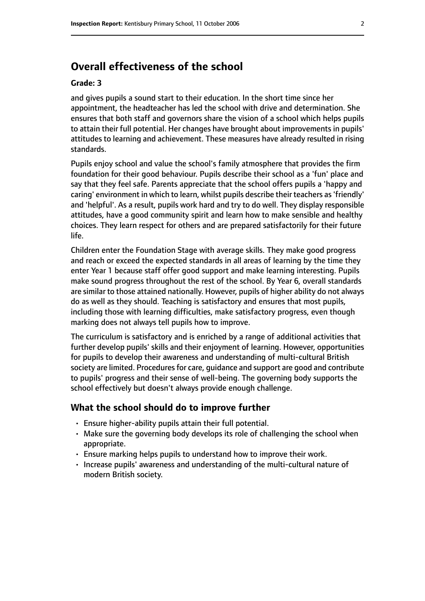## **Overall effectiveness of the school**

#### **Grade: 3**

and gives pupils a sound start to their education. In the short time since her appointment, the headteacher has led the school with drive and determination. She ensures that both staff and governors share the vision of a school which helps pupils to attain their full potential. Her changes have brought about improvements in pupils' attitudes to learning and achievement. These measures have already resulted in rising standards.

Pupils enjoy school and value the school's family atmosphere that provides the firm foundation for their good behaviour. Pupils describe their school as a 'fun' place and say that they feel safe. Parents appreciate that the school offers pupils a 'happy and caring' environment in which to learn, whilst pupils describe their teachers as'friendly' and 'helpful'. As a result, pupils work hard and try to do well. They display responsible attitudes, have a good community spirit and learn how to make sensible and healthy choices. They learn respect for others and are prepared satisfactorily for their future life.

Children enter the Foundation Stage with average skills. They make good progress and reach or exceed the expected standards in all areas of learning by the time they enter Year 1 because staff offer good support and make learning interesting. Pupils make sound progress throughout the rest of the school. By Year 6, overall standards are similar to those attained nationally. However, pupils of higher ability do not always do as well as they should. Teaching is satisfactory and ensures that most pupils, including those with learning difficulties, make satisfactory progress, even though marking does not always tell pupils how to improve.

The curriculum is satisfactory and is enriched by a range of additional activities that further develop pupils' skills and their enjoyment of learning. However, opportunities for pupils to develop their awareness and understanding of multi-cultural British society are limited. Procedures for care, quidance and support are good and contribute to pupils' progress and their sense of well-being. The governing body supports the school effectively but doesn't always provide enough challenge.

#### **What the school should do to improve further**

- Ensure higher-ability pupils attain their full potential.
- Make sure the governing body develops its role of challenging the school when appropriate.
- Ensure marking helps pupils to understand how to improve their work.
- Increase pupils' awareness and understanding of the multi-cultural nature of modern British society.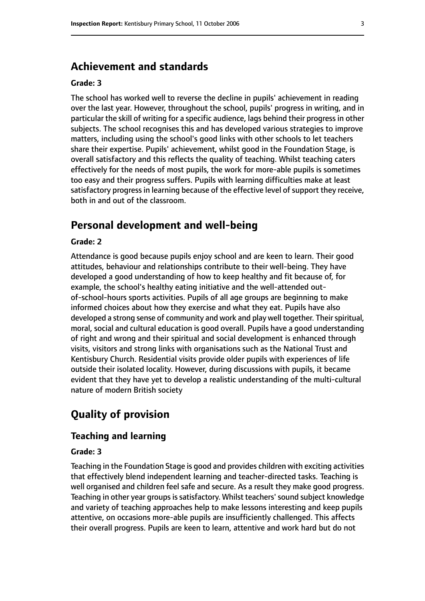#### **Achievement and standards**

#### **Grade: 3**

The school has worked well to reverse the decline in pupils' achievement in reading over the last year. However, throughout the school, pupils' progress in writing, and in particular the skill of writing for a specific audience, lags behind their progress in other subjects. The school recognises this and has developed various strategies to improve matters, including using the school's good links with other schools to let teachers share their expertise. Pupils' achievement, whilst good in the Foundation Stage, is overall satisfactory and this reflects the quality of teaching. Whilst teaching caters effectively for the needs of most pupils, the work for more-able pupils is sometimes too easy and their progress suffers. Pupils with learning difficulties make at least satisfactory progress in learning because of the effective level of support they receive, both in and out of the classroom.

# **Personal development and well-being**

#### **Grade: 2**

Attendance is good because pupils enjoy school and are keen to learn. Their good attitudes, behaviour and relationships contribute to their well-being. They have developed a good understanding of how to keep healthy and fit because of, for example, the school's healthy eating initiative and the well-attended outof-school-hours sports activities. Pupils of all age groups are beginning to make informed choices about how they exercise and what they eat. Pupils have also developed a strong sense of community and work and play well together. Their spiritual, moral, social and cultural education is good overall. Pupils have a good understanding of right and wrong and their spiritual and social development is enhanced through visits, visitors and strong links with organisations such as the National Trust and Kentisbury Church. Residential visits provide older pupils with experiences of life outside their isolated locality. However, during discussions with pupils, it became evident that they have yet to develop a realistic understanding of the multi-cultural nature of modern British society

# **Quality of provision**

#### **Teaching and learning**

#### **Grade: 3**

Teaching in the Foundation Stage is good and provides children with exciting activities that effectively blend independent learning and teacher-directed tasks. Teaching is well organised and children feel safe and secure. As a result they make good progress. Teaching in other year groups is satisfactory. Whilst teachers' sound subject knowledge and variety of teaching approaches help to make lessons interesting and keep pupils attentive, on occasions more-able pupils are insufficiently challenged. This affects their overall progress. Pupils are keen to learn, attentive and work hard but do not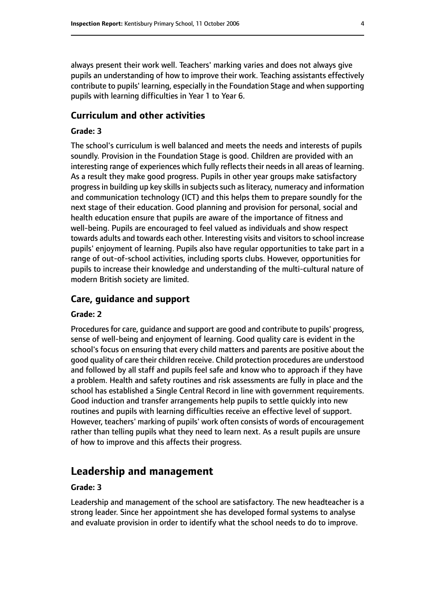always present their work well. Teachers' marking varies and does not always give pupils an understanding of how to improve their work. Teaching assistants effectively contribute to pupils' learning, especially in the Foundation Stage and when supporting pupils with learning difficulties in Year 1 to Year 6.

#### **Curriculum and other activities**

#### **Grade: 3**

The school's curriculum is well balanced and meets the needs and interests of pupils soundly. Provision in the Foundation Stage is good. Children are provided with an interesting range of experiences which fully reflects their needs in all areas of learning. As a result they make good progress. Pupils in other year groups make satisfactory progress in building up key skills in subjects such as literacy, numeracy and information and communication technology (ICT) and this helps them to prepare soundly for the next stage of their education. Good planning and provision for personal, social and health education ensure that pupils are aware of the importance of fitness and well-being. Pupils are encouraged to feel valued as individuals and show respect towards adults and towards each other. Interesting visits and visitors to school increase pupils' enjoyment of learning. Pupils also have regular opportunities to take part in a range of out-of-school activities, including sports clubs. However, opportunities for pupils to increase their knowledge and understanding of the multi-cultural nature of modern British society are limited.

#### **Care, guidance and support**

#### **Grade: 2**

Procedures for care, guidance and support are good and contribute to pupils' progress, sense of well-being and enjoyment of learning. Good quality care is evident in the school's focus on ensuring that every child matters and parents are positive about the good quality of care their children receive. Child protection procedures are understood and followed by all staff and pupils feel safe and know who to approach if they have a problem. Health and safety routines and risk assessments are fully in place and the school has established a Single Central Record in line with government requirements. Good induction and transfer arrangements help pupils to settle quickly into new routines and pupils with learning difficulties receive an effective level of support. However, teachers' marking of pupils' work often consists of words of encouragement rather than telling pupils what they need to learn next. As a result pupils are unsure of how to improve and this affects their progress.

#### **Leadership and management**

#### **Grade: 3**

Leadership and management of the school are satisfactory. The new headteacher is a strong leader. Since her appointment she has developed formal systems to analyse and evaluate provision in order to identify what the school needs to do to improve.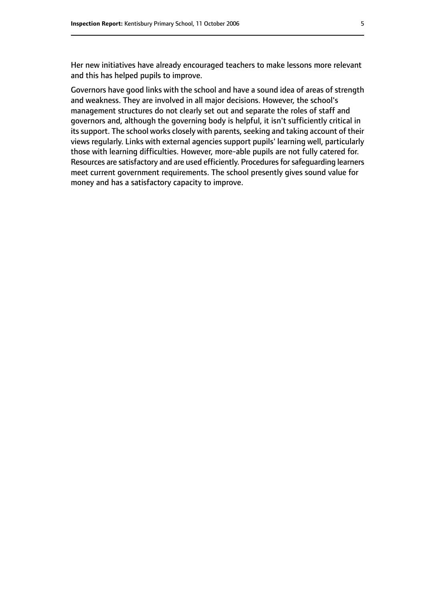Her new initiatives have already encouraged teachers to make lessons more relevant and this has helped pupils to improve.

Governors have good links with the school and have a sound idea of areas of strength and weakness. They are involved in all major decisions. However, the school's management structures do not clearly set out and separate the roles of staff and governors and, although the governing body is helpful, it isn't sufficiently critical in its support. The school works closely with parents, seeking and taking account of their views regularly. Links with external agencies support pupils' learning well, particularly those with learning difficulties. However, more-able pupils are not fully catered for. Resources are satisfactory and are used efficiently. Procedures for safeguarding learners meet current government requirements. The school presently gives sound value for money and has a satisfactory capacity to improve.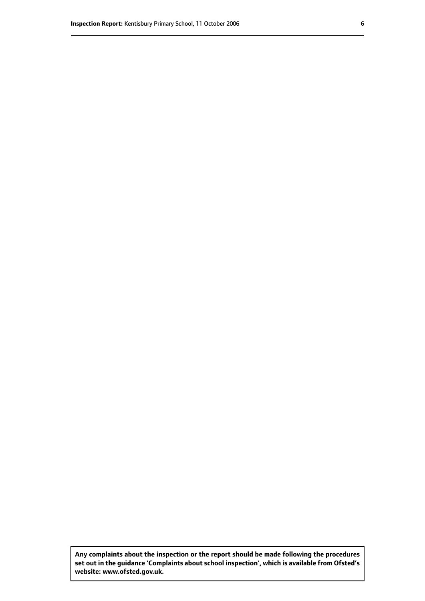**Any complaints about the inspection or the report should be made following the procedures set out inthe guidance 'Complaints about school inspection', whichis available from Ofsted's website: www.ofsted.gov.uk.**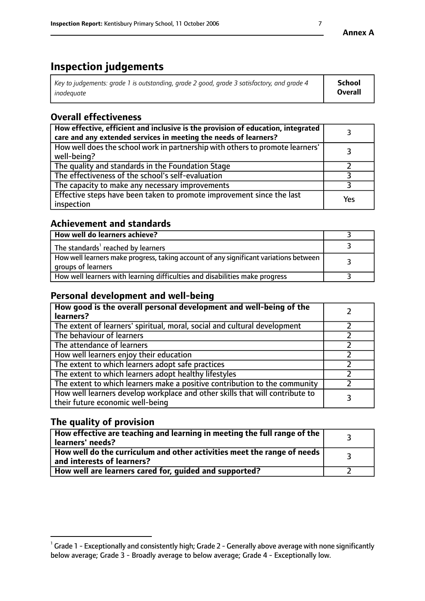# **Inspection judgements**

| Key to judgements: grade 1 is outstanding, grade 2 good, grade 3 satisfactory, and grade 4 | <b>School</b>  |
|--------------------------------------------------------------------------------------------|----------------|
| inadeauate                                                                                 | <b>Overall</b> |

# **Overall effectiveness**

| How effective, efficient and inclusive is the provision of education, integrated<br>care and any extended services in meeting the needs of learners? |     |
|------------------------------------------------------------------------------------------------------------------------------------------------------|-----|
| How well does the school work in partnership with others to promote learners'<br>well-being?                                                         |     |
| The quality and standards in the Foundation Stage                                                                                                    |     |
| The effectiveness of the school's self-evaluation                                                                                                    |     |
| The capacity to make any necessary improvements                                                                                                      |     |
| Effective steps have been taken to promote improvement since the last<br>inspection                                                                  | Yes |

#### **Achievement and standards**

| How well do learners achieve?                                                                               |  |
|-------------------------------------------------------------------------------------------------------------|--|
| The standards <sup>1</sup> reached by learners                                                              |  |
| How well learners make progress, taking account of any significant variations between<br>groups of learners |  |
| How well learners with learning difficulties and disabilities make progress                                 |  |

#### **Personal development and well-being**

| How good is the overall personal development and well-being of the<br>learners?                                  |  |
|------------------------------------------------------------------------------------------------------------------|--|
| The extent of learners' spiritual, moral, social and cultural development                                        |  |
| The behaviour of learners                                                                                        |  |
| The attendance of learners                                                                                       |  |
| How well learners enjoy their education                                                                          |  |
| The extent to which learners adopt safe practices                                                                |  |
| The extent to which learners adopt healthy lifestyles                                                            |  |
| The extent to which learners make a positive contribution to the community                                       |  |
| How well learners develop workplace and other skills that will contribute to<br>their future economic well-being |  |

### **The quality of provision**

| How effective are teaching and learning in meeting the full range of the<br>learners' needs?          |  |
|-------------------------------------------------------------------------------------------------------|--|
| How well do the curriculum and other activities meet the range of needs<br>and interests of learners? |  |
| How well are learners cared for, guided and supported?                                                |  |

 $^1$  Grade 1 - Exceptionally and consistently high; Grade 2 - Generally above average with none significantly below average; Grade 3 - Broadly average to below average; Grade 4 - Exceptionally low.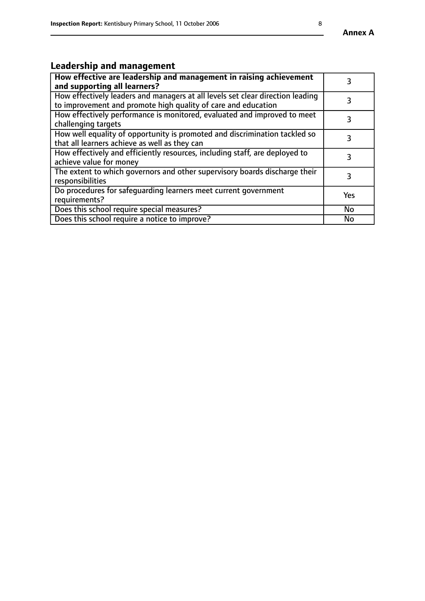# **Leadership and management**

| How effective are leadership and management in raising achievement<br>and supporting all learners?                                              |            |
|-------------------------------------------------------------------------------------------------------------------------------------------------|------------|
| How effectively leaders and managers at all levels set clear direction leading<br>to improvement and promote high quality of care and education |            |
| How effectively performance is monitored, evaluated and improved to meet<br>challenging targets                                                 | 3          |
| How well equality of opportunity is promoted and discrimination tackled so<br>that all learners achieve as well as they can                     |            |
| How effectively and efficiently resources, including staff, are deployed to<br>achieve value for money                                          | 3          |
| The extent to which governors and other supervisory boards discharge their<br>responsibilities                                                  | 3          |
| Do procedures for safequarding learners meet current government<br>requirements?                                                                | <b>Yes</b> |
| Does this school require special measures?                                                                                                      | No         |
| Does this school require a notice to improve?                                                                                                   | <b>No</b>  |